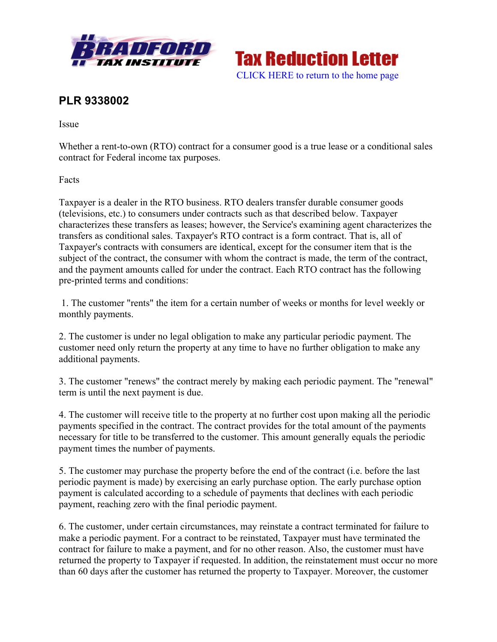



## **PLR 9338002**

Issue

Whether a rent-to-own (RTO) contract for a consumer good is a true lease or a conditional sales contract for Federal income tax purposes.

Facts

Taxpayer is a dealer in the RTO business. RTO dealers transfer durable consumer goods (televisions, etc.) to consumers under contracts such as that described below. Taxpayer characterizes these transfers as leases; however, the Service's examining agent characterizes the transfers as conditional sales. Taxpayer's RTO contract is a form contract. That is, all of Taxpayer's contracts with consumers are identical, except for the consumer item that is the subject of the contract, the consumer with whom the contract is made, the term of the contract, and the payment amounts called for under the contract. Each RTO contract has the following pre-printed terms and conditions:

1. The customer "rents" the item for a certain number of weeks or months for level weekly or monthly payments.

2. The customer is under no legal obligation to make any particular periodic payment. The customer need only return the property at any time to have no further obligation to make any additional payments.

3. The customer "renews" the contract merely by making each periodic payment. The "renewal" term is until the next payment is due.

4. The customer will receive title to the property at no further cost upon making all the periodic payments specified in the contract. The contract provides for the total amount of the payments necessary for title to be transferred to the customer. This amount generally equals the periodic payment times the number of payments.

5. The customer may purchase the property before the end of the contract (i.e. before the last periodic payment is made) by exercising an early purchase option. The early purchase option payment is calculated according to a schedule of payments that declines with each periodic payment, reaching zero with the final periodic payment.

6. The customer, under certain circumstances, may reinstate a contract terminated for failure to make a periodic payment. For a contract to be reinstated, Taxpayer must have terminated the contract for failure to make a payment, and for no other reason. Also, the customer must have returned the property to Taxpayer if requested. In addition, the reinstatement must occur no more than 60 days after the customer has returned the property to Taxpayer. Moreover, the customer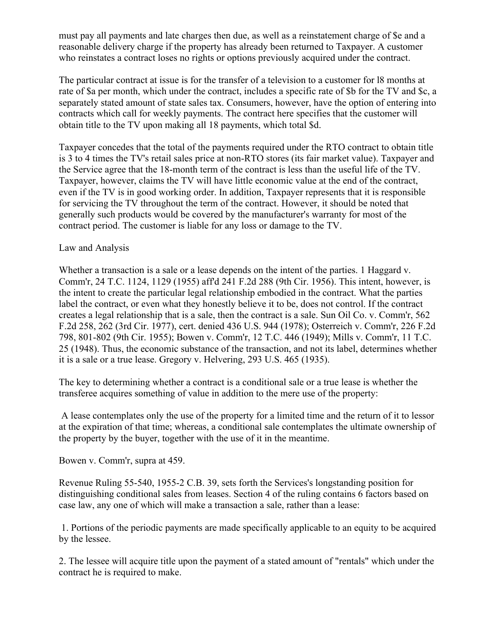must pay all payments and late charges then due, as well as a reinstatement charge of \$e and a reasonable delivery charge if the property has already been returned to Taxpayer. A customer who reinstates a contract loses no rights or options previously acquired under the contract.

The particular contract at issue is for the transfer of a television to a customer for l8 months at rate of \$a per month, which under the contract, includes a specific rate of \$b for the TV and \$c, a separately stated amount of state sales tax. Consumers, however, have the option of entering into contracts which call for weekly payments. The contract here specifies that the customer will obtain title to the TV upon making all 18 payments, which total \$d.

Taxpayer concedes that the total of the payments required under the RTO contract to obtain title is 3 to 4 times the TV's retail sales price at non-RTO stores (its fair market value). Taxpayer and the Service agree that the 18-month term of the contract is less than the useful life of the TV. Taxpayer, however, claims the TV will have little economic value at the end of the contract, even if the TV is in good working order. In addition, Taxpayer represents that it is responsible for servicing the TV throughout the term of the contract. However, it should be noted that generally such products would be covered by the manufacturer's warranty for most of the contract period. The customer is liable for any loss or damage to the TV.

## Law and Analysis

Whether a transaction is a sale or a lease depends on the intent of the parties. 1 Haggard v. Comm'r, 24 T.C. 1124, 1129 (1955) aff'd 241 F.2d 288 (9th Cir. 1956). This intent, however, is the intent to create the particular legal relationship embodied in the contract. What the parties label the contract, or even what they honestly believe it to be, does not control. If the contract creates a legal relationship that is a sale, then the contract is a sale. Sun Oil Co. v. Comm'r, 562 F.2d 258, 262 (3rd Cir. 1977), cert. denied 436 U.S. 944 (1978); Osterreich v. Comm'r, 226 F.2d 798, 801-802 (9th Cir. 1955); Bowen v. Comm'r, 12 T.C. 446 (1949); Mills v. Comm'r, 11 T.C. 25 (1948). Thus, the economic substance of the transaction, and not its label, determines whether it is a sale or a true lease. Gregory v. Helvering, 293 U.S. 465 (1935).

The key to determining whether a contract is a conditional sale or a true lease is whether the transferee acquires something of value in addition to the mere use of the property:

A lease contemplates only the use of the property for a limited time and the return of it to lessor at the expiration of that time; whereas, a conditional sale contemplates the ultimate ownership of the property by the buyer, together with the use of it in the meantime.

Bowen v. Comm'r, supra at 459.

Revenue Ruling 55-540, 1955-2 C.B. 39, sets forth the Services's longstanding position for distinguishing conditional sales from leases. Section 4 of the ruling contains 6 factors based on case law, any one of which will make a transaction a sale, rather than a lease:

1. Portions of the periodic payments are made specifically applicable to an equity to be acquired by the lessee.

2. The lessee will acquire title upon the payment of a stated amount of "rentals" which under the contract he is required to make.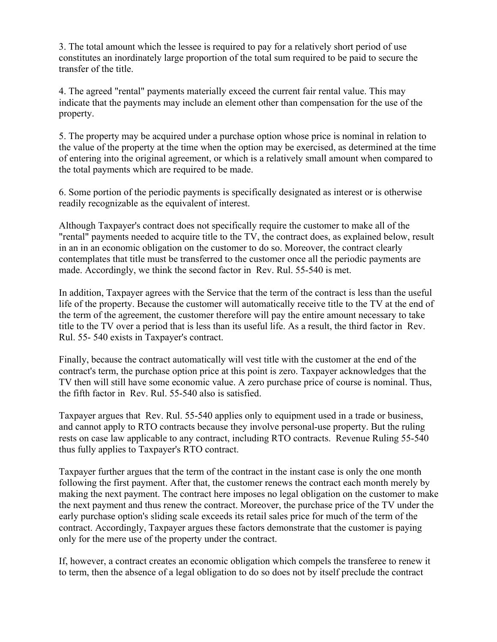3. The total amount which the lessee is required to pay for a relatively short period of use constitutes an inordinately large proportion of the total sum required to be paid to secure the transfer of the title.

4. The agreed "rental" payments materially exceed the current fair rental value. This may indicate that the payments may include an element other than compensation for the use of the property.

5. The property may be acquired under a purchase option whose price is nominal in relation to the value of the property at the time when the option may be exercised, as determined at the time of entering into the original agreement, or which is a relatively small amount when compared to the total payments which are required to be made.

6. Some portion of the periodic payments is specifically designated as interest or is otherwise readily recognizable as the equivalent of interest.

Although Taxpayer's contract does not specifically require the customer to make all of the "rental" payments needed to acquire title to the TV, the contract does, as explained below, result in an in an economic obligation on the customer to do so. Moreover, the contract clearly contemplates that title must be transferred to the customer once all the periodic payments are made. Accordingly, we think the second factor in Rev. Rul. 55-540 is met.

In addition, Taxpayer agrees with the Service that the term of the contract is less than the useful life of the property. Because the customer will automatically receive title to the TV at the end of the term of the agreement, the customer therefore will pay the entire amount necessary to take title to the TV over a period that is less than its useful life. As a result, the third factor in Rev. Rul. 55- 540 exists in Taxpayer's contract.

Finally, because the contract automatically will vest title with the customer at the end of the contract's term, the purchase option price at this point is zero. Taxpayer acknowledges that the TV then will still have some economic value. A zero purchase price of course is nominal. Thus, the fifth factor in Rev. Rul. 55-540 also is satisfied.

Taxpayer argues that Rev. Rul. 55-540 applies only to equipment used in a trade or business, and cannot apply to RTO contracts because they involve personal-use property. But the ruling rests on case law applicable to any contract, including RTO contracts. Revenue Ruling 55-540 thus fully applies to Taxpayer's RTO contract.

Taxpayer further argues that the term of the contract in the instant case is only the one month following the first payment. After that, the customer renews the contract each month merely by making the next payment. The contract here imposes no legal obligation on the customer to make the next payment and thus renew the contract. Moreover, the purchase price of the TV under the early purchase option's sliding scale exceeds its retail sales price for much of the term of the contract. Accordingly, Taxpayer argues these factors demonstrate that the customer is paying only for the mere use of the property under the contract.

If, however, a contract creates an economic obligation which compels the transferee to renew it to term, then the absence of a legal obligation to do so does not by itself preclude the contract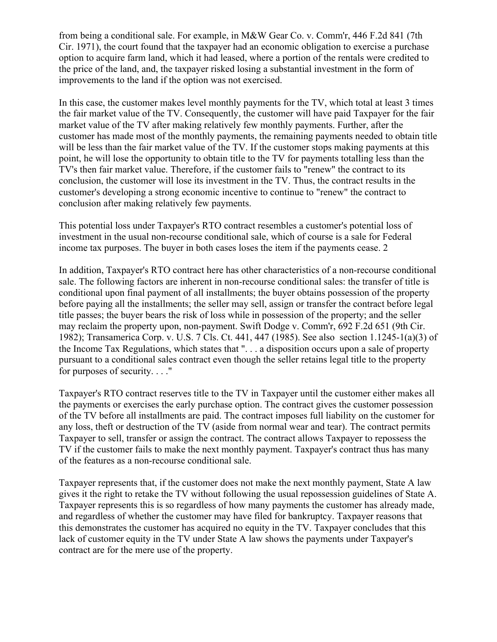from being a conditional sale. For example, in M&W Gear Co. v. Comm'r, 446 F.2d 841 (7th Cir. 1971), the court found that the taxpayer had an economic obligation to exercise a purchase option to acquire farm land, which it had leased, where a portion of the rentals were credited to the price of the land, and, the taxpayer risked losing a substantial investment in the form of improvements to the land if the option was not exercised.

In this case, the customer makes level monthly payments for the TV, which total at least 3 times the fair market value of the TV. Consequently, the customer will have paid Taxpayer for the fair market value of the TV after making relatively few monthly payments. Further, after the customer has made most of the monthly payments, the remaining payments needed to obtain title will be less than the fair market value of the TV. If the customer stops making payments at this point, he will lose the opportunity to obtain title to the TV for payments totalling less than the TV's then fair market value. Therefore, if the customer fails to "renew" the contract to its conclusion, the customer will lose its investment in the TV. Thus, the contract results in the customer's developing a strong economic incentive to continue to "renew" the contract to conclusion after making relatively few payments.

This potential loss under Taxpayer's RTO contract resembles a customer's potential loss of investment in the usual non-recourse conditional sale, which of course is a sale for Federal income tax purposes. The buyer in both cases loses the item if the payments cease. 2

In addition, Taxpayer's RTO contract here has other characteristics of a non-recourse conditional sale. The following factors are inherent in non-recourse conditional sales: the transfer of title is conditional upon final payment of all installments; the buyer obtains possession of the property before paying all the installments; the seller may sell, assign or transfer the contract before legal title passes; the buyer bears the risk of loss while in possession of the property; and the seller may reclaim the property upon, non-payment. Swift Dodge v. Comm'r, 692 F.2d 651 (9th Cir. 1982); Transamerica Corp. v. U.S. 7 Cls. Ct. 441, 447 (1985). See also section 1.1245-1(a)(3) of the Income Tax Regulations, which states that ". . . a disposition occurs upon a sale of property pursuant to a conditional sales contract even though the seller retains legal title to the property for purposes of security. . . ."

Taxpayer's RTO contract reserves title to the TV in Taxpayer until the customer either makes all the payments or exercises the early purchase option. The contract gives the customer possession of the TV before all installments are paid. The contract imposes full liability on the customer for any loss, theft or destruction of the TV (aside from normal wear and tear). The contract permits Taxpayer to sell, transfer or assign the contract. The contract allows Taxpayer to repossess the TV if the customer fails to make the next monthly payment. Taxpayer's contract thus has many of the features as a non-recourse conditional sale.

Taxpayer represents that, if the customer does not make the next monthly payment, State A law gives it the right to retake the TV without following the usual repossession guidelines of State A. Taxpayer represents this is so regardless of how many payments the customer has already made, and regardless of whether the customer may have filed for bankruptcy. Taxpayer reasons that this demonstrates the customer has acquired no equity in the TV. Taxpayer concludes that this lack of customer equity in the TV under State A law shows the payments under Taxpayer's contract are for the mere use of the property.